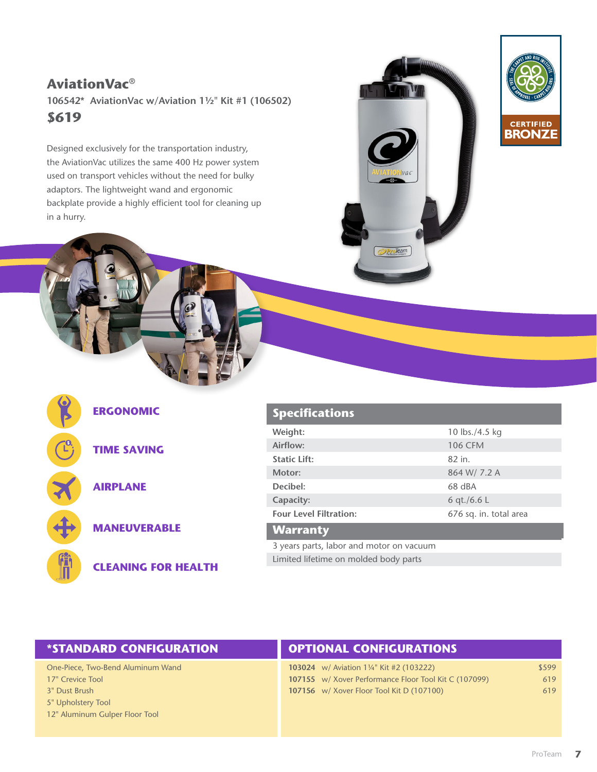## **\$619 AviationVac® 106542\* AviationVac w/Aviation 1½" Kit #1 (106502)**

Designed exclusively for the transportation industry, the AviationVac utilizes the same 400 Hz power system used on transport vehicles without the need for bulky adaptors. The lightweight wand and ergonomic backplate provide a highly efficient tool for cleaning up in a hurry.







### **ERGONOMIC**

**TIME SAVING**

**AIRPLANE**

**MANEUVERABLE**

**CLEANING FOR HEALTH**

#### **Specifications**

| Weight:                       | 10 lbs./4.5 kg         |
|-------------------------------|------------------------|
| Airflow:                      | <b>106 CFM</b>         |
| <b>Static Lift:</b>           | 82 in.                 |
| Motor:                        | 864 W/7.2 A            |
| Decibel:                      | 68 dBA                 |
| Capacity:                     | 6 qt./6.6 L            |
| <b>Four Level Filtration:</b> | 676 sq. in. total area |
| <b>Warranty</b>               |                        |
|                               |                        |

3 years parts, labor and motor on vacuum Limited lifetime on molded body parts

#### **\*STANDARD CONFIGURATION OPTIONAL CONFIGURATIONS**

One-Piece, Two-Bend Aluminum Wand

- 17" Crevice Tool
- 3" Dust Brush
- 5" Upholstery Tool
- 12" Aluminum Gulper Floor Tool

| <b>103024</b> w/ Aviation 1¼" Kit #2 (103222)         | \$599 |
|-------------------------------------------------------|-------|
| 107155 w/ Xover Performance Floor Tool Kit C (107099) | 619   |
| 107156 w/ Xover Floor Tool Kit D (107100)             | 619   |